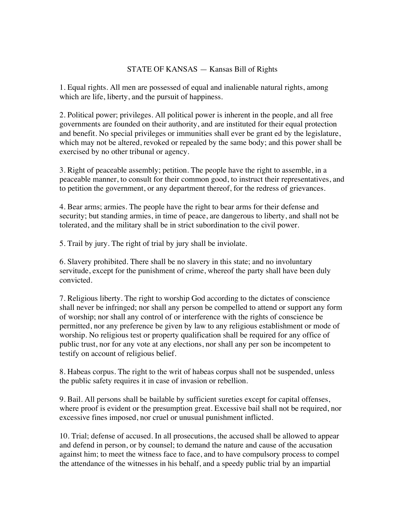## STATE OF KANSAS — Kansas Bill of Rights

1. Equal rights. All men are possessed of equal and inalienable natural rights, among which are life, liberty, and the pursuit of happiness.

2. Political power; privileges. All political power is inherent in the people, and all free governments are founded on their authority, and are instituted for their equal protection and benefit. No special privileges or immunities shall ever be grant ed by the legislature, which may not be altered, revoked or repealed by the same body; and this power shall be exercised by no other tribunal or agency.

3. Right of peaceable assembly; petition. The people have the right to assemble, in a peaceable manner, to consult for their common good, to instruct their representatives, and to petition the government, or any department thereof, for the redress of grievances.

4. Bear arms; armies. The people have the right to bear arms for their defense and security; but standing armies, in time of peace, are dangerous to liberty, and shall not be tolerated, and the military shall be in strict subordination to the civil power.

5. Trail by jury. The right of trial by jury shall be inviolate.

6. Slavery prohibited. There shall be no slavery in this state; and no involuntary servitude, except for the punishment of crime, whereof the party shall have been duly convicted.

7. Religious liberty. The right to worship God according to the dictates of conscience shall never be infringed; nor shall any person be compelled to attend or support any form of worship; nor shall any control of or interference with the rights of conscience be permitted, nor any preference be given by law to any religious establishment or mode of worship. No religious test or property qualification shall be required for any office of public trust, nor for any vote at any elections, nor shall any per son be incompetent to testify on account of religious belief.

8. Habeas corpus. The right to the writ of habeas corpus shall not be suspended, unless the public safety requires it in case of invasion or rebellion.

9. Bail. All persons shall be bailable by sufficient sureties except for capital offenses, where proof is evident or the presumption great. Excessive bail shall not be required, nor excessive fines imposed, nor cruel or unusual punishment inflicted.

10. Trial; defense of accused. In all prosecutions, the accused shall be allowed to appear and defend in person, or by counsel; to demand the nature and cause of the accusation against him; to meet the witness face to face, and to have compulsory process to compel the attendance of the witnesses in his behalf, and a speedy public trial by an impartial